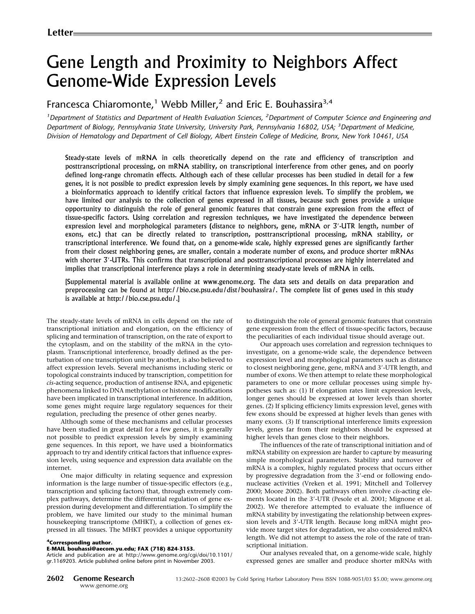# Gene Length and Proximity to Neighbors Affect Genome-Wide Expression Levels

# Francesca Chiaromonte,<sup>1</sup> Webb Miller,<sup>2</sup> and Eric E. Bouhassira<sup>3,4</sup>

<sup>1</sup>Department of Statistics and Department of Health Evaluation Sciences, <sup>2</sup>Department of Computer Science and Engineering and Department of Biology, Pennsylvania State University, University Park, Pennsylvania 16802, USA; <sup>3</sup>Department of Medicine, Division of Hematology and Department of Cell Biology, Albert Einstein College of Medicine, Bronx, New York 10461, USA

Steady-state levels of mRNA in cells theoretically depend on the rate and efficiency of transcription and posttranscriptional processing, on mRNA stability, on transcriptional interference from other genes, and on poorly defined long-range chromatin effects. Although each of these cellular processes has been studied in detail for a few genes, it is not possible to predict expression levels by simply examining gene sequences. In this report, we have used a bioinformatics approach to identify critical factors that influence expression levels. To simplify the problem, we have limited our analysis to the collection of genes expressed in all tissues, because such genes provide a unique opportunity to distinguish the role of general genomic features that constrain gene expression from the effect of tissue-specific factors. Using correlation and regression techniques, we have investigated the dependence between expression level and morphological parameters (distance to neighbors, gene, mRNA or 3-UTR length, number of exons, etc.) that can be directly related to transcription, posttranscriptional processing, mRNA stability, or transcriptional interference. We found that, on a genome-wide scale, highly expressed genes are significantly farther from their closest neighboring genes, are smaller, contain a moderate number of exons, and produce shorter mRNAs with shorter 3'-UTRs. This confirms that transcriptional and posttranscriptional processes are highly interrelated and implies that transcriptional interference plays a role in determining steady-state levels of mRNA in cells.

[Supplemental material is available online at www.genome.org. The data sets and details on data preparation and preprocessing can be found at http://bio.cse.psu.edu/dist/bouhassira/. The complete list of genes used in this study is available at http://bio.cse.psu.edu/.]

The steady-state levels of mRNA in cells depend on the rate of transcriptional initiation and elongation, on the efficiency of splicing and termination of transcription, on the rate of export to the cytoplasm, and on the stability of the mRNA in the cytoplasm. Transcriptional interference, broadly defined as the perturbation of one transcription unit by another, is also believed to affect expression levels. Several mechanisms including steric or topological constraints induced by transcription, competition for cis-acting sequence, production of antisense RNA, and epigenetic phenomena linked to DNA methylation or histone modifications have been implicated in transcriptional interference. In addition, some genes might require large regulatory sequences for their regulation, precluding the presence of other genes nearby.

Although some of these mechanisms and cellular processes have been studied in great detail for a few genes, it is generally not possible to predict expression levels by simply examining gene sequences. In this report, we have used a bioinformatics approach to try and identify critical factors that influence expression levels, using sequence and expression data available on the internet.

One major difficulty in relating sequence and expression information is the large number of tissue-specific effectors (e.g., transcription and splicing factors) that, through extremely complex pathways, determine the differential regulation of gene expression during development and differentiation. To simplify the problem, we have limited our study to the minimal human housekeeping transcriptome (MHKT), a collection of genes expressed in all tissues. The MHKT provides a unique opportunity

#### <sup>4</sup>Corresponding author.

E-MAIL bouhassi@aecom.yu.edu; FAX (718) 824-3153.

Article and publication are at http://www.genome.org/cgi/doi/10.1101/ gr.1169203. Article published online before print in November 2003.

to distinguish the role of general genomic features that constrain gene expression from the effect of tissue-specific factors, because the peculiarities of each individual tissue should average out.

Our approach uses correlation and regression techniques to investigate, on a genome-wide scale, the dependence between expression level and morphological parameters such as distance to closest neighboring gene, gene, mRNA and 3-UTR length, and number of exons. We then attempt to relate these morphological parameters to one or more cellular processes using simple hypotheses such as: (1) If elongation rates limit expression levels, longer genes should be expressed at lower levels than shorter genes. (2) If splicing efficiency limits expression level, genes with few exons should be expressed at higher levels than genes with many exons. (3) If transcriptional interference limits expression levels, genes far from their neighbors should be expressed at higher levels than genes close to their neighbors.

The influences of the rate of transcriptional initiation and of mRNA stability on expression are harder to capture by measuring simple morphological parameters. Stability and turnover of mRNA is a complex, highly regulated process that occurs either by progressive degradation from the 3-end or following endonuclease activities (Vreken et al. 1991; Mitchell and Tollervey 2000; Moore 2002). Both pathways often involve cis-acting elements located in the 3-UTR (Pesole et al. 2001; Mignone et al. 2002). We therefore attempted to evaluate the influence of mRNA stability by investigating the relationship between expression levels and 3-UTR length. Because long mRNA might provide more target sites for degradation, we also considered mRNA length. We did not attempt to assess the role of the rate of transcriptional initiation.

Our analyses revealed that, on a genome-wide scale, highly expressed genes are smaller and produce shorter mRNAs with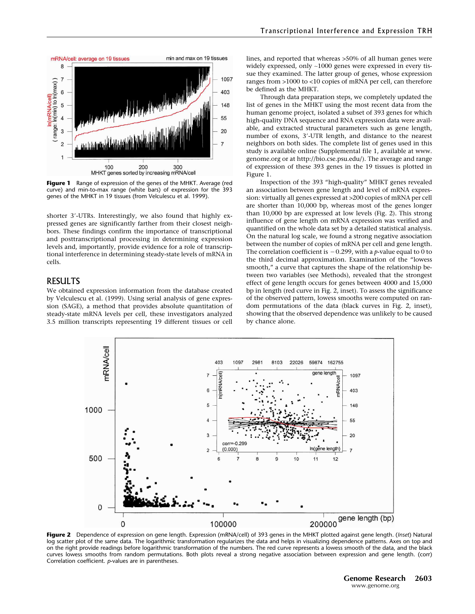

Figure 1 Range of expression of the genes of the MHKT. Average (red curve) and min-to-max range (white bars) of expression for the 393 genes of the MHKT in 19 tissues (from Velculescu et al. 1999).

shorter 3'-UTRs. Interestingly, we also found that highly expressed genes are significantly farther from their closest neighbors. These findings confirm the importance of transcriptional and posttranscriptional processing in determining expression levels and, importantly, provide evidence for a role of transcriptional interference in determining steady-state levels of mRNA in cells.

# **RESULTS**

We obtained expression information from the database created by Velculescu et al. (1999). Using serial analysis of gene expression (SAGE), a method that provides absolute quantitation of steady-state mRNA levels per cell, these investigators analyzed 3.5 million transcripts representing 19 different tissues or cell lines, and reported that whereas >50% of all human genes were widely expressed, only ∼1000 genes were expressed in every tissue they examined. The latter group of genes, whose expression ranges from >1000 to <10 copies of mRNA per cell, can therefore be defined as the MHKT.

Through data preparation steps, we completely updated the list of genes in the MHKT using the most recent data from the human genome project, isolated a subset of 393 genes for which high-quality DNA sequence and RNA expression data were available, and extracted structural parameters such as gene length, number of exons, 3-UTR length, and distance to the nearest neighbors on both sides. The complete list of genes used in this study is available online (Supplemental file 1, available at www. genome.org or at http://bio.cse.psu.edu/). The average and range of expression of these 393 genes in the 19 tissues is plotted in Figure 1.

Inspection of the 393 "high-quality" MHKT genes revealed an association between gene length and level of mRNA expression: virtually all genes expressed at >200 copies of mRNA per cell are shorter than 10,000 bp, whereas most of the genes longer than 10,000 bp are expressed at low levels (Fig. 2). This strong influence of gene length on mRNA expression was verified and quantified on the whole data set by a detailed statistical analysis. On the natural log scale, we found a strong negative association between the number of copies of mRNA per cell and gene length. The correlation coefficient is  $-0.299$ , with a p-value equal to 0 to the third decimal approximation. Examination of the "lowess smooth," a curve that captures the shape of the relationship between two variables (see Methods), revealed that the strongest effect of gene length occurs for genes between 4000 and 15,000 bp in length (red curve in Fig. 2, inset). To assess the significance of the observed pattern, lowess smooths were computed on random permutations of the data (black curves in Fig. 2, inset), showing that the observed dependence was unlikely to be caused by chance alone.



Figure 2 Dependence of expression on gene length. Expression (mRNA/cell) of 393 genes in the MHKT plotted against gene length. (Inset) Natural log scatter plot of the same data. The logarithmic transformation regularizes the data and helps in visualizing dependence patterns. Axes on top and on the right provide readings before logarithmic transformation of the numbers. The red curve represents a lowess smooth of the data, and the black curves lowess smooths from random permutations. Both plots reveal a strong negative association between expression and gene length. (corr) Correlation coefficient. p-values are in parentheses.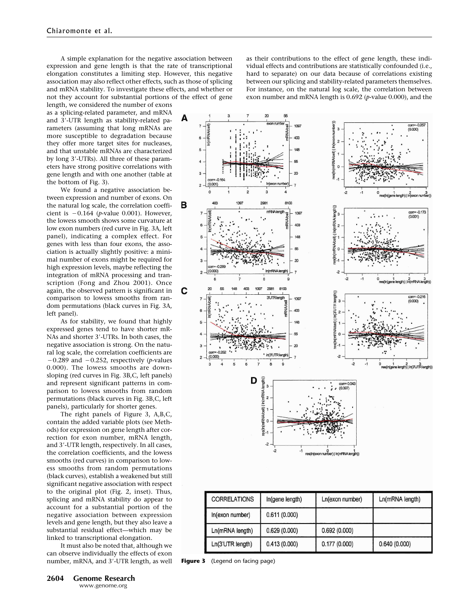A simple explanation for the negative association between expression and gene length is that the rate of transcriptional elongation constitutes a limiting step. However, this negative association may also reflect other effects, such as those of splicing and mRNA stability. To investigate these effects, and whether or not they account for substantial portions of the effect of gene

length, we considered the number of exons as a splicing-related parameter, and mRNA and 3-UTR length as stability-related parameters (assuming that long mRNAs are more susceptible to degradation because they offer more target sites for nucleases, and that unstable mRNAs are characterized by long 3-UTRs). All three of these parameters have strong positive correlations with gene length and with one another (table at the bottom of Fig. 3).

We found a negative association between expression and number of exons. On the natural log scale, the correlation coefficient is  $-0.164$  (*p*-value 0.001). However, the lowess smooth shows some curvature at low exon numbers (red curve in Fig. 3A, left panel), indicating a complex effect. For genes with less than four exons, the association is actually slightly positive: a minimal number of exons might be required for high expression levels, maybe reflecting the integration of mRNA processing and transcription (Fong and Zhou 2001). Once again, the observed pattern is significant in comparison to lowess smooths from random permutations (black curves in Fig. 3A, left panel).

As for stability, we found that highly expressed genes tend to have shorter mR-NAs and shorter 3'-UTRs. In both cases, the negative association is strong. On the natural log scale, the correlation coefficients are  $-0.289$  and  $-0.252$ , respectively (p-values 0.000). The lowess smooths are downsloping (red curves in Fig. 3B,C, left panels) and represent significant patterns in comparison to lowess smooths from random permutations (black curves in Fig. 3B,C, left panels), particularly for shorter genes.

The right panels of Figure 3, A,B,C, contain the added variable plots (see Methods) for expression on gene length after correction for exon number, mRNA length, and 3-UTR length, respectively. In all cases, the correlation coefficients, and the lowess smooths (red curves) in comparison to lowess smooths from random permutations (black curves), establish a weakened but still significant negative association with respect to the original plot (Fig. 2, inset). Thus, splicing and mRNA stability do appear to account for a substantial portion of the negative association between expression levels and gene length, but they also leave a substantial residual effect—which may be linked to transcriptional elongation.

It must also be noted that, although we can observe individually the effects of exon number, mRNA, and 3-UTR length, as well as their contributions to the effect of gene length, these individual effects and contributions are statistically confounded (i.e., hard to separate) on our data because of correlations existing between our splicing and stability-related parameters themselves. For instance, on the natural log scale, the correlation between exon number and mRNA length is  $0.692$  ( $p$ -value  $0.000$ ), and the



| <b>CORRELATIONS</b> | In(gene length) | Ln(exon number) | Ln(mRNA length) |
|---------------------|-----------------|-----------------|-----------------|
| In(exon number)     | 0.611(0.000)    |                 |                 |
| Ln(mRNA length)     | 0.629(0.000)    | 0.692(0.000)    |                 |
| Ln(3'UTR length)    | 0.413(0.000)    | 0.177(0.000)    | 0.640(0.000)    |

**Figure 3** (Legend on facing page)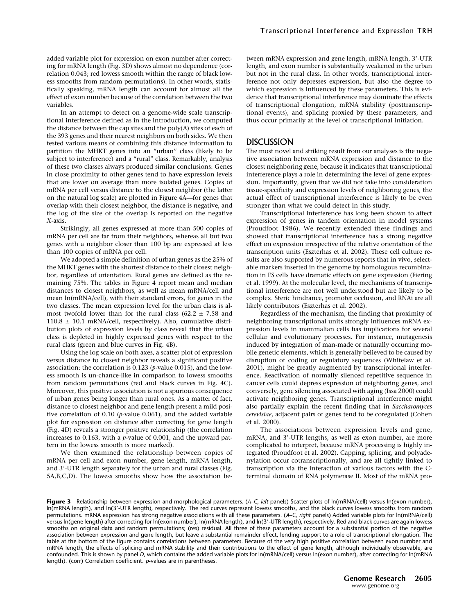added variable plot for expression on exon number after correcting for mRNA length (Fig. 3D) shows almost no dependence (correlation 0.043; red lowess smooth within the range of black lowess smooths from random permutations). In other words, statistically speaking, mRNA length can account for almost all the effect of exon number because of the correlation between the two variables.

In an attempt to detect on a genome-wide scale transcriptional interference defined as in the introduction, we computed the distance between the cap sites and the poly(A) sites of each of the 393 genes and their nearest neighbors on both sides. We then tested various means of combining this distance information to partition the MHKT genes into an "urban" class (likely to be subject to interference) and a "rural" class. Remarkably, analysis of these two classes always produced similar conclusions: Genes in close proximity to other genes tend to have expression levels that are lower on average than more isolated genes. Copies of mRNA per cell versus distance to the closest neighbor (the latter on the natural log scale) are plotted in Figure 4A—for genes that overlap with their closest neighbor, the distance is negative, and the log of the size of the overlap is reported on the negative X-axis.

Strikingly, all genes expressed at more than 500 copies of mRNA per cell are far from their neighbors, whereas all but two genes with a neighbor closer than 100 bp are expressed at less than 100 copies of mRNA per cell.

We adopted a simple definition of urban genes as the 25% of the MHKT genes with the shortest distance to their closest neighbor, regardless of orientation. Rural genes are defined as the remaining 75%. The tables in Figure 4 report mean and median distances to closest neighbors, as well as mean mRNA/cell and mean ln(mRNA/cell), with their standard errors, for genes in the two classes. The mean expression level for the urban class is almost twofold lower than for the rural class (62.2  $\pm$  7.58 and  $110.8 \pm 10.1$  mRNA/cell, respectively). Also, cumulative distribution plots of expression levels by class reveal that the urban class is depleted in highly expressed genes with respect to the rural class (green and blue curves in Fig. 4B).

Using the log scale on both axes, a scatter plot of expression versus distance to closest neighbor reveals a significant positive association: the correlation is 0.123 (p-value 0.015), and the lowess smooth is un-chance-like in comparison to lowess smooths from random permutations (red and black curves in Fig. 4C). Moreover, this positive association is not a spurious consequence of urban genes being longer than rural ones. As a matter of fact, distance to closest neighbor and gene length present a mild positive correlation of 0.10 (p-value 0.061), and the added variable plot for expression on distance after correcting for gene length (Fig. 4D) reveals a stronger positive relationship (the correlation increases to 0.163, with a  $p$ -value of 0.001, and the upward pattern in the lowess smooth is more marked).

We then examined the relationship between copies of mRNA per cell and exon number, gene length, mRNA length, and 3-UTR length separately for the urban and rural classes (Fig. 5A,B,C,D). The lowess smooths show how the association between mRNA expression and gene length, mRNA length, 3'-UTR length, and exon number is substantially weakened in the urban but not in the rural class. In other words, transcriptional interference not only depresses expression, but also the degree to which expression is influenced by these parameters. This is evidence that transcriptional interference may dominate the effects of transcriptional elongation, mRNA stability (posttranscriptional events), and splicing proxied by these parameters, and thus occur primarily at the level of transcriptional initiation.

#### **DISCUSSION**

The most novel and striking result from our analyses is the negative association between mRNA expression and distance to the closest neighboring gene, because it indicates that transcriptional interference plays a role in determining the level of gene expression. Importantly, given that we did not take into consideration tissue-specificity and expression levels of neighboring genes, the actual effect of transcriptional interference is likely to be even stronger than what we could detect in this study.

Transcriptional interference has long been shown to affect expression of genes in tandem orientation in model systems (Proudfoot 1986). We recently extended these findings and showed that transcriptional interference has a strong negative effect on expression irrespective of the relative orientation of the transcription units (Eszterhas et al. 2002). These cell culture results are also supported by numerous reports that in vivo, selectable markers inserted in the genome by homologous recombination in ES cells have dramatic effects on gene expression (Fiering et al. 1999). At the molecular level, the mechanisms of transcriptional interference are not well understood but are likely to be complex. Steric hindrance, promoter occlusion, and RNAi are all likely contributors (Eszterhas et al. 2002).

Regardless of the mechanism, the finding that proximity of neighboring transcriptional units strongly influences mRNA expression levels in mammalian cells has implications for several cellular and evolutionary processes. For instance, mutagenesis induced by integration of man-made or naturally occurring mobile genetic elements, which is generally believed to be caused by disruption of coding or regulatory sequences (Whitelaw et al. 2001), might be greatly augmented by transcriptional interference. Reactivation of normally silenced repetitive sequence in cancer cells could depress expression of neighboring genes, and conversely, gene silencing associated with aging (Issa 2000) could activate neighboring genes. Transcriptional interference might also partially explain the recent finding that in Saccharomyces cerevisiae, adjacent pairs of genes tend to be coregulated (Cohen et al. 2000).

The associations between expression levels and gene, mRNA, and 3-UTR lengths, as well as exon number, are more complicated to interpret, because mRNA processing is highly integrated (Proudfoot et al. 2002). Capping, splicing, and polyadenylation occur cotranscriptionally, and are all tightly linked to transcription via the interaction of various factors with the Cterminal domain of RNA polymerase II. Most of the mRNA pro-

Figure 3 Relationship between expression and morphological parameters. (A-C, left panels) Scatter plots of ln(mRNA/cell) versus ln(exon number), ln(mRNA length), and ln(3-UTR length), respectively. The red curves represent lowess smooths, and the black curves lowess smooths from random permutations. mRNA expression has strong negative associations with all these parameters. (A-C, right panels) Added variable plots for ln(mRNA/cell) versus ln(gene length) after correcting for ln(exon number), ln(mRNA length), and ln(3-UTR length), respectively. Red and black curves are again lowess smooths on original data and random permutations; (res) residual. All three of these parameters account for a substantial portion of the negative association between expression and gene length, but leave a substantial remainder effect, lending support to a role of transcriptional elongation. The table at the bottom of the figure contains correlations between parameters. Because of the very high positive correlation between exon number and mRNA length, the effects of splicing and mRNA stability and their contributions to the effect of gene length, although individually observable, are confounded. This is shown by panel D, which contains the added variable plots for ln(mRNA/cell) versus ln(exon number), after correcting for ln(mRNA length). (corr) Correlation coefficient. p-values are in parentheses.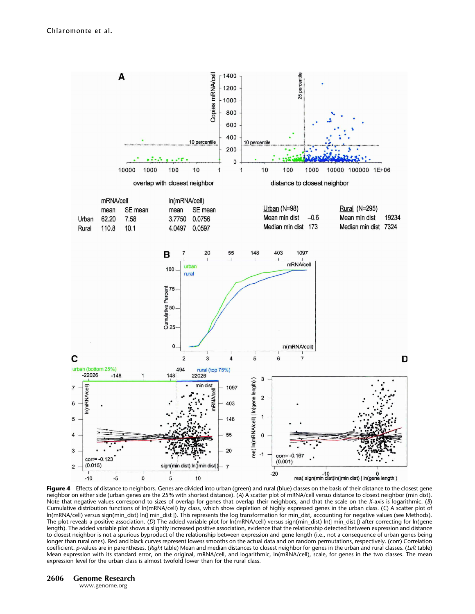

Figure 4 Effects of distance to neighbors. Genes are divided into urban (green) and rural (blue) classes on the basis of their distance to the closest gene neighbor on either side (urban genes are the 25% with shortest distance). (A) A scatter plot of mRNA/cell versus distance to closest neighbor (min dist). Note that negative values correspond to sizes of overlap for genes that overlap their neighbors, and that the scale on the X-axis is logarithmic. (B) Cumulative distribution functions of ln(mRNA/cell) by class, which show depletion of highly expressed genes in the urban class. (C) A scatter plot of ln(mRNA/cell) versus sign(min\_dist) ln(| min\_dist |). This represents the log transformation for min\_dist, accounting for negative values (see Methods). The plot reveals a positive association. (D) The added variable plot for ln(mRNA/cell) versus sign(min\_dist) ln(| min\_dist |) after correcting for ln(gene length). The added variable plot shows a slightly increased positive association, evidence that the relationship detected between expression and distance to closest neighbor is not a spurious byproduct of the relationship between expression and gene length (i.e., not a consequence of urban genes being longer than rural ones). Red and black curves represent lowess smooths on the actual data and on random permutations, respectively. (corr) Correlation coefficient. p-values are in parentheses. (Right table) Mean and median distances to closest neighbor for genes in the urban and rural classes. (Left table) Mean expression with its standard error, on the original, mRNA/cell, and logarithmic, ln(mRNA/cell), scale, for genes in the two classes. The mean expression level for the urban class is almost twofold lower than for the rural class.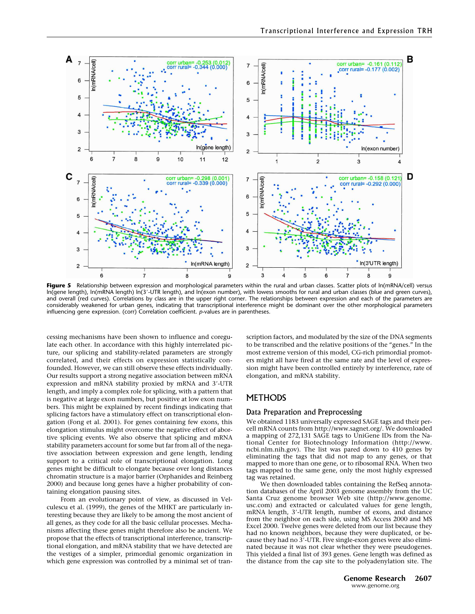

Figure 5 Relationship between expression and morphological parameters within the rural and urban classes. Scatter plots of ln(mRNA/cell) versus ln(gene length), ln(mRNA length) ln(3-UTR length), and ln(exon number), with lowess smooths for rural and urban classes (blue and green curves), and overall (red curves). Correlations by class are in the upper right corner. The relationships between expression and each of the parameters are considerably weakened for urban genes, indicating that transcriptional interference might be dominant over the other morphological parameters influencing gene expression. (corr) Correlation coefficient. p-values are in parentheses.

cessing mechanisms have been shown to influence and coregulate each other. In accordance with this highly interrelated picture, our splicing and stability-related parameters are strongly correlated, and their effects on expression statistically confounded. However, we can still observe these effects individually. Our results support a strong negative association between mRNA expression and mRNA stability proxied by mRNA and 3-UTR length, and imply a complex role for splicing, with a pattern that is negative at large exon numbers, but positive at low exon numbers. This might be explained by recent findings indicating that splicing factors have a stimulatory effect on transcriptional elongation (Fong et al. 2001). For genes containing few exons, this elongation stimulus might overcome the negative effect of abortive splicing events. We also observe that splicing and mRNA stability parameters account for some but far from all of the negative association between expression and gene length, lending support to a critical role of transcriptional elongation. Long genes might be difficult to elongate because over long distances chromatin structure is a major barrier (Orphanides and Reinberg 2000) and because long genes have a higher probability of containing elongation pausing sites.

From an evolutionary point of view, as discussed in Velculescu et al. (1999), the genes of the MHKT are particularly interesting because they are likely to be among the most ancient of all genes, as they code for all the basic cellular processes. Mechanisms affecting these genes might therefore also be ancient. We propose that the effects of transcriptional interference, transcriptional elongation, and mRNA stability that we have detected are the vestiges of a simpler, primordial genomic organization in which gene expression was controlled by a minimal set of tran-

scription factors, and modulated by the size of the DNA segments to be transcribed and the relative positions of the "genes." In the most extreme version of this model, CG-rich primordial promoters might all have fired at the same rate and the level of expression might have been controlled entirely by interference, rate of elongation, and mRNA stability.

#### **METHODS**

#### Data Preparation and Preprocessing

We obtained 1183 universally expressed SAGE tags and their percell mRNA counts from http://www.sagnet.org/. We downloaded a mapping of 272,131 SAGE tags to UniGene IDs from the National Center for Biotechnology Information (http://www. ncbi.nlm.nih.gov). The list was pared down to 410 genes by eliminating the tags that did not map to any genes, or that mapped to more than one gene, or to ribosomal RNA. When two tags mapped to the same gene, only the most highly expressed tag was retained.

We then downloaded tables containing the RefSeq annotation databases of the April 2003 genome assembly from the UC Santa Cruz genome browser Web site (http://www.genome. usc.com) and extracted or calculated values for gene length, mRNA length, 3-UTR length, number of exons, and distance from the neighbor on each side, using MS Access 2000 and MS Excel 2000. Twelve genes were deleted from our list because they had no known neighbors, because they were duplicated, or because they had no  $3'$ -UTR. Five single-exon genes were also eliminated because it was not clear whether they were pseudogenes. This yielded a final list of 393 genes. Gene length was defined as the distance from the cap site to the polyadenylation site. The